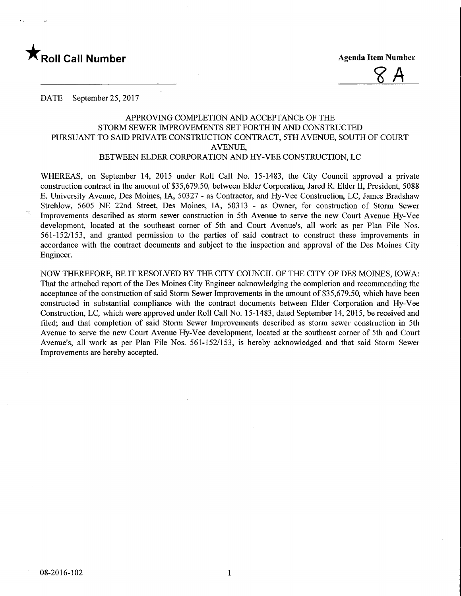

 $8A$ 

DATE September 25, 2017

# APPROVING COMPLETION AND ACCEPTANCE OF THE STORM SEWER IMPROVEMENTS SET FORTH IN AND CONSTRUCTED PURSUANT TO SAID PRIVATE CONSTRUCTION CONTRACT, 5TH AVENUE, SOUTH OF COURT AVENUE, BETWEEN ELDER CORPORATION AND HY-VEE CONSTRUCTION, LC

WHEREAS, on September 14, 2015 under Roll Call No. 15-1483, the City Council approved a private construction contract in the amount of \$35,679.50, between Elder Corporation, Jared R. Elder II, President, 5088 E. University Avenue, Des Moines, IA, 50327 - as Contractor, and Hy-Vee Construction, LC, James Bradshaw Strehlow, 5605 NE 22nd Street, Des Moines, IA, 50313 - as Owner, for construction of Storm Sewer Improvements described as storm sewer construction in 5th Avenue to serve the new Court Avenue Hy-Vee development, located at the southeast comer of 5th and Court Avenue's, all work as per Plan File Nos. 561-152/153, and granted permission to the parties of said contract to construct these improvements in accordance with the contract documents and subject to the inspection and approval of the Des Moines City Engineer.

NOW THEREFORE, BE IT RESOLVED BY THE CITY COUNCIL OF THE CITY OF DES MOINES, IOWA: That the attached report of the Des Moines City Engineer acknowledging the completion and recommending the acceptance of the construction of said Storm Sewer Improvements in the amount of \$35,679.50, which have been constructed in substantial compliance with the contract documents between Elder Corporation and Hy-Vee Construction, LC, which were approved under Roll Call No. 15-1483, dated September 14, 2015, be received and filed; and that completion of said Storm Sewer Improvements described as storm sewer construction in 5th Avenue to serve the new Court Avenue Hy-Vee development, located at the southeast comer of 5th and Court Avenue's, all work as per Plan File Nos. 561-152/153, is hereby acknowledged and that said Storm Sewer Improvements are hereby accepted.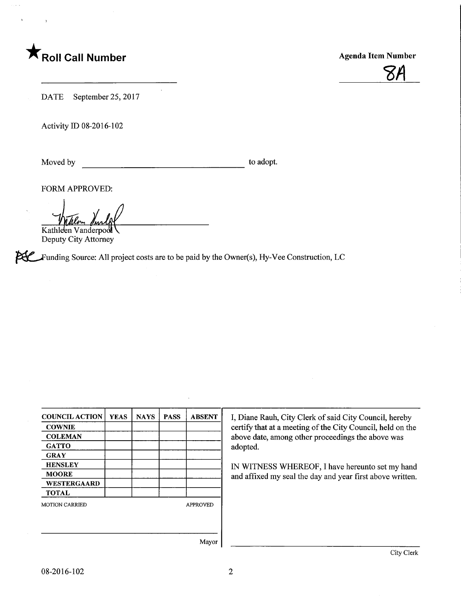# **T** Roll Call Number **Agenda Item Number** Agenda Item Number



DATE September 25, 2017

Activity ID 08-2016-102

Moved by to adopt.

FORM APPROVED:

Kathleen Vanderpool

Deputy City Attorney

**PUC** Funding Source: All project costs are to be paid by the Owner(s), Hy-Vee Construction, LC

| <b>COUNCIL ACTION</b>                    | <b>YEAS</b> | <b>NAYS</b> | <b>PASS</b> | <b>ABSENT</b> |  |
|------------------------------------------|-------------|-------------|-------------|---------------|--|
| <b>COWNIE</b>                            |             |             |             |               |  |
| <b>COLEMAN</b>                           |             |             |             |               |  |
| <b>GATTO</b>                             |             |             |             |               |  |
| <b>GRAY</b>                              |             |             |             |               |  |
| <b>HENSLEY</b>                           |             |             |             |               |  |
| <b>MOORE</b>                             |             |             |             |               |  |
| WESTERGAARD                              |             |             |             |               |  |
| <b>TOTAL</b>                             |             |             |             |               |  |
| <b>MOTION CARRIED</b><br><b>APPROVED</b> |             |             |             |               |  |
|                                          |             |             |             |               |  |
|                                          |             |             |             |               |  |
|                                          |             |             |             |               |  |
|                                          |             |             |             | Mayor         |  |

I, Diane Rauh, City Clerk of said City Council, hereby certify that at a meeting of the City Council, held on the above date, among other proceedings the above was adopted.

IN WITNESS WHEREOF, I have hereunto set my hand and affixed my seal the day and year first above written.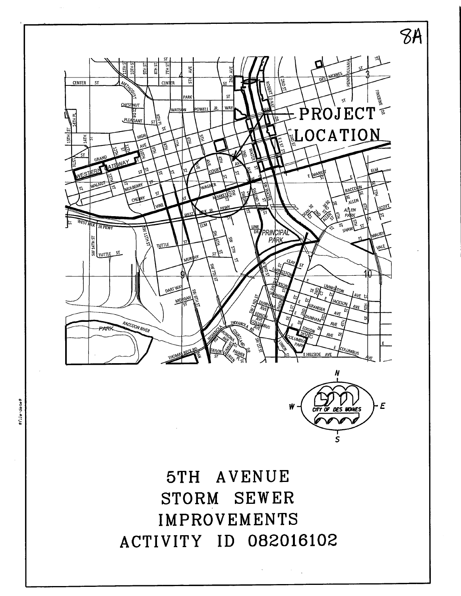



sfile-dates

 $\boldsymbol{E}$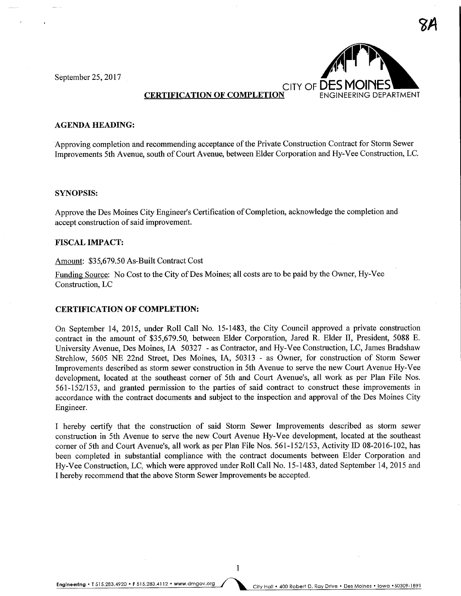September 25, 2017



# **CERTIFICATION OF COMPLETION**

#### **AGENDA HEADING:**

Approving completion and recommending acceptance of the Private Construction Contract for Storm Sewer Improvements 5th Avenue, south of Court Avenue, between Elder Corporation and Hy-Vee Construction, LC.

#### SYNOPSIS:

Approve the Des Moines City Engineer's Certification of Completion, acknowledge the completion and accept construction of said improvement.

## FISCAL IMPACT:

## Amount: \$35,679.50 As-Built Contract Cost

Funding Source: No Cost to the City of Des Moines; all costs are to be paid by the Owner, Hy-Vee Construction, LC

### CERTIFICATION OF COMPLETION:

On September 14, 2015, under Roll Call No. 15-1483, the City Council approved a private construction contract in the amount of \$35,679.50, between Elder Corporation, Jared R. Elder U, President, 5088 E. University Avenue, Des Moines, IA 50327 - as Contractor, and Hy-Vee Construction, LC, James Bradshaw Strehlow, 5605 NE 22nd Street, Des Moines, LA, 50313 - as Owner, for construction of Storm Sewer Improvements described as storm sewer construction in 5th Avenue to serve the new Court Avenue Hy-Vee development, located at the southeast corner of 5th and Court Avenue's, all work as per Plan File Nos. 561-152/153, and granted permission to the parties of said contract to construct these improvements in accordance with the contract documents and subject to the inspection and approval of the Des Moines City Engineer.

I hereby certify that the construction of said Storm Sewer Improvements described as storm sewer construction in 5th Avenue to serve the new Court Avenue Hy-Vee development, located at the southeast comer of 5th and Court Avenue's, all work as per Plan File Nos. 561-152/153, Activity ID 08-2016-102, has been completed in substantial compliance with the contract documents between Elder Corporation and Hy-Vee Construction, LC, which were approved under Roll Call No. 15-1483, dated September 14, 2015 and I hereby recommend that the above Storm Sewer Improvements be accepted.

Engineering . T 515.283.4920 . F 515.283.4112 . www.dmgov.org City Hall . 400 Robert D. Ray Drive . Des Moines . Iowa . 50309-1891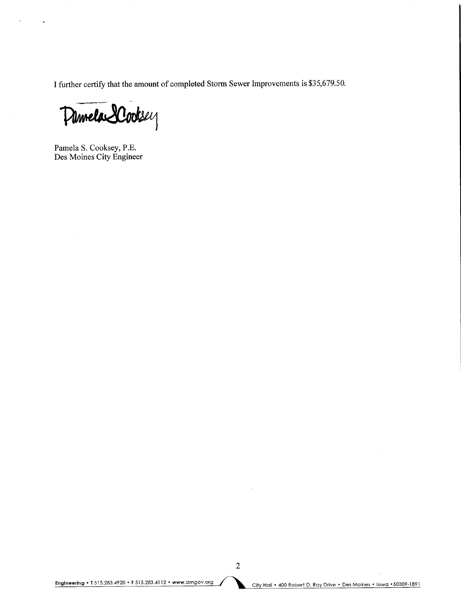I further certify that the amount of completed Storm Sewer Improvements is \$35,679.50.

Pinnela SCooksey

Pamela S. Cooksey, P.E. Des Moines City Engineer